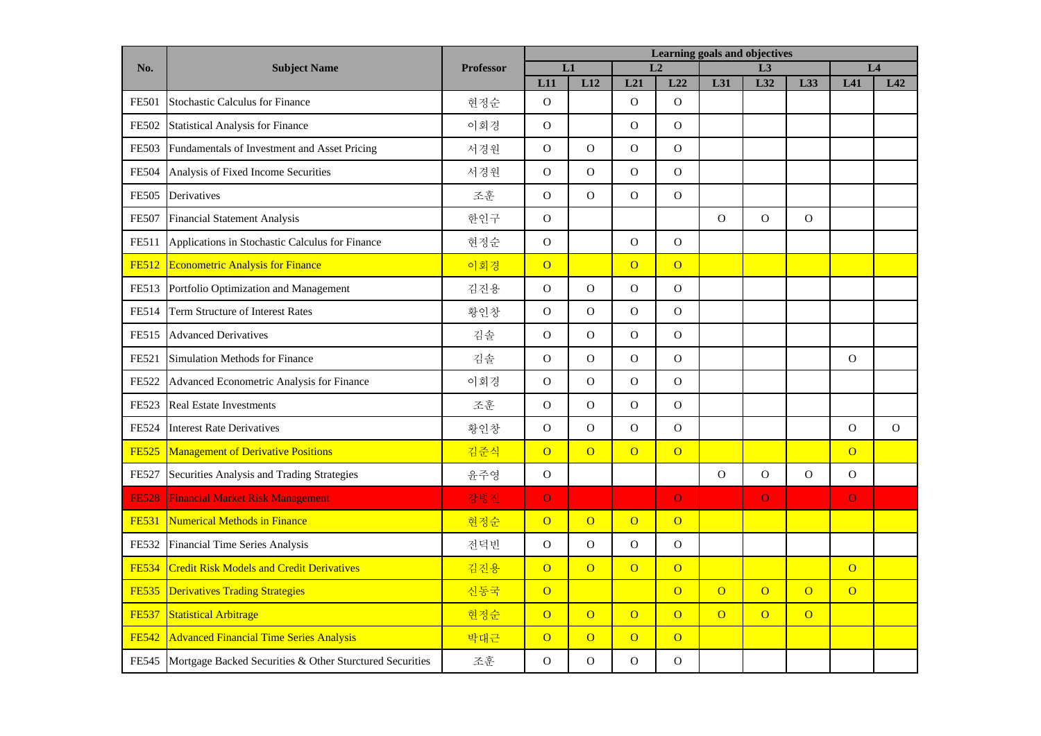|              | <b>Subject Name</b>                                      | <b>Professor</b> | Learning goals and objectives |                |                |                |                |                |                |                |              |
|--------------|----------------------------------------------------------|------------------|-------------------------------|----------------|----------------|----------------|----------------|----------------|----------------|----------------|--------------|
| No.          |                                                          |                  | L1                            |                | L2             |                | L3             |                |                | L <sub>4</sub> |              |
|              |                                                          |                  | L11                           | L12            | L21            | L22            | L31            | L32            | L33            | L41            | L42          |
| <b>FE501</b> | <b>Stochastic Calculus for Finance</b>                   | 현정순              | $\Omega$                      |                | $\Omega$       | $\overline{O}$ |                |                |                |                |              |
| FE502        | <b>Statistical Analysis for Finance</b>                  | 이회경              | $\mathbf{O}$                  |                | $\mathbf O$    | $\overline{O}$ |                |                |                |                |              |
| <b>FE503</b> | Fundamentals of Investment and Asset Pricing             | 서경원              | $\mathcal{O}$                 | $\mathcal{O}$  | $\mathbf{O}$   | $\mathbf 0$    |                |                |                |                |              |
| <b>FE504</b> | Analysis of Fixed Income Securities                      | 서경원              | $\Omega$                      | $\mathbf{O}$   | $\mathbf{O}$   | $\mathbf{O}$   |                |                |                |                |              |
| <b>FE505</b> | Derivatives                                              | 조훈               | $\mathbf{O}$                  | $\overline{O}$ | $\mathbf{O}$   | $\mathbf O$    |                |                |                |                |              |
| <b>FE507</b> | <b>Financial Statement Analysis</b>                      | 한인구              | $\mathcal{O}$                 |                |                |                | $\mathbf O$    | $\overline{O}$ | $\mathbf O$    |                |              |
| FE511        | Applications in Stochastic Calculus for Finance          | 현정순              | $\mathbf O$                   |                | $\mathbf O$    | $\mathbf O$    |                |                |                |                |              |
| <b>FE512</b> | <b>Econometric Analysis for Finance</b>                  | 이회경              | $\overline{O}$                |                | $\overline{O}$ | $\overline{O}$ |                |                |                |                |              |
| FE513        | Portfolio Optimization and Management                    | 김진용              | $\mathcal{O}$                 | $\overline{O}$ | $\mathbf O$    | $\mathbf O$    |                |                |                |                |              |
| <b>FE514</b> | <b>Term Structure of Interest Rates</b>                  | 황인창              | $\Omega$                      | $\overline{O}$ | $\Omega$       | $\Omega$       |                |                |                |                |              |
| FE515        | <b>Advanced Derivatives</b>                              | 김솔               | $\overline{O}$                | $\overline{O}$ | $\mathbf{O}$   | $\mathbf O$    |                |                |                |                |              |
| FE521        | <b>Simulation Methods for Finance</b>                    | 김솔               | $\mathcal{O}$                 | $\overline{O}$ | $\Omega$       | $\mathbf O$    |                |                |                | $\mathbf O$    |              |
| <b>FE522</b> | Advanced Econometric Analysis for Finance                | 이회경              | $\mathbf{O}$                  | $\overline{O}$ | $\mathbf O$    | $\mathbf O$    |                |                |                |                |              |
| FE523        | <b>Real Estate Investments</b>                           | 조훈               | $\mathcal{O}$                 | $\mathbf{O}$   | $\mathbf O$    | $\overline{O}$ |                |                |                |                |              |
| <b>FE524</b> | <b>Interest Rate Derivatives</b>                         | 황인창              | $\overline{O}$                | $\overline{O}$ | $\mathbf{O}$   | $\mathbf{O}$   |                |                |                | $\mathbf{O}$   | $\mathbf{O}$ |
| <b>FE525</b> | <b>Management of Derivative Positions</b>                | 김준식              | $\overline{O}$                | $\overline{O}$ | $\overline{O}$ | $\overline{O}$ |                |                |                | $\overline{O}$ |              |
| <b>FE527</b> | Securities Analysis and Trading Strategies               | 윤주영              | $\mathbf{O}$                  |                |                |                | $\mathbf O$    | $\mathbf O$    | $\mathbf O$    | $\mathbf O$    |              |
| <b>FE528</b> | <b>Financial Market Risk Management</b>                  | 강병진              | $\overline{O}$                |                |                | $\overline{O}$ |                | $\overline{O}$ |                | $\overline{O}$ |              |
| <b>FE531</b> | <b>Numerical Methods in Finance</b>                      | 현정순              | $\overline{O}$                | $\overline{O}$ | $\overline{O}$ | $\overline{O}$ |                |                |                |                |              |
| FE532        | Financial Time Series Analysis                           | 전덕빈              | ${\rm O}$                     | $\overline{O}$ | $\mathbf{O}$   | ${\bf O}$      |                |                |                |                |              |
| <b>FE534</b> | <b>Credit Risk Models and Credit Derivatives</b>         | 김진용              | $\overline{O}$                | $\overline{O}$ | $\overline{O}$ | $\overline{O}$ |                |                |                | $\overline{O}$ |              |
| <b>FE535</b> | <b>Derivatives Trading Strategies</b>                    | 신동국              | $\overline{O}$                |                |                | $\overline{O}$ | $\overline{O}$ | $\overline{O}$ | $\overline{O}$ | $\overline{O}$ |              |
| <b>FE537</b> | <b>Statistical Arbitrage</b>                             | 현정순              | $\overline{O}$                | $\overline{O}$ | $\overline{O}$ | $\overline{O}$ | $\overline{O}$ | $\overline{O}$ | $\overline{O}$ |                |              |
| <b>FE542</b> | <b>Advanced Financial Time Series Analysis</b>           | 박대근              | $\overline{O}$                | $\overline{O}$ | $\overline{O}$ | $\overline{O}$ |                |                |                |                |              |
| FE545        | Mortgage Backed Securities & Other Sturctured Securities | 조훈               | $\mathcal{O}$                 | $\mathcal{O}$  | $\mathcal{O}$  | $\overline{O}$ |                |                |                |                |              |